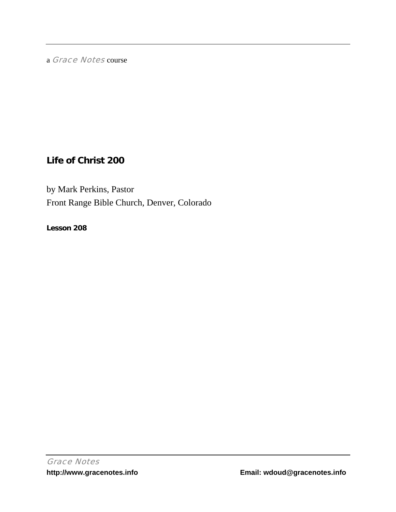a Grace Notes course

# **Life of Christ 200**

by Mark Perkins, Pastor Front Range Bible Church, Denver, Colorado

**Lesson 208**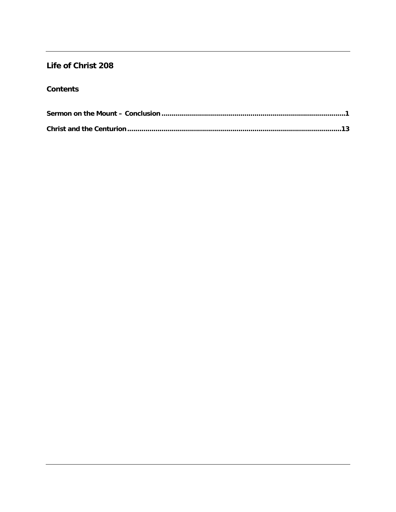## Life of Christ 208

### **Contents**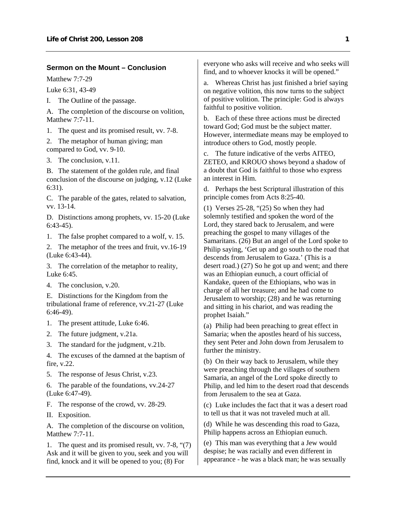#### <span id="page-2-0"></span>**Sermon on the Mount – Conclusion**

Matthew 7:7-29

Luke 6:31, 43-49

I. The Outline of the passage.

A. The completion of the discourse on volition, Matthew 7:7-11.

1. The quest and its promised result, vv. 7-8.

2. The metaphor of human giving; man compared to God, vv. 9-10.

3. The conclusion, v.11.

B. The statement of the golden rule, and final conclusion of the discourse on judging, v.12 (Luke 6:31).

C. The parable of the gates, related to salvation, vv. 13-14.

D. Distinctions among prophets, vv. 15-20 (Luke 6:43-45).

1. The false prophet compared to a wolf, v. 15.

2. The metaphor of the trees and fruit, vv.16-19 (Luke 6:43-44).

3. The correlation of the metaphor to reality, Luke 6:45.

4. The conclusion, v.20.

E. Distinctions for the Kingdom from the tribulational frame of reference, vv.21-27 (Luke 6:46-49).

- 1. The present attitude, Luke 6:46.
- 2. The future judgment, v.21a.
- 3. The standard for the judgment, v.21b.

4. The excuses of the damned at the baptism of fire, v.22.

5. The response of Jesus Christ, v.23.

6. The parable of the foundations, vv.24-27 (Luke 6:47-49).

F. The response of the crowd, vv. 28-29.

II. Exposition.

A. The completion of the discourse on volition, Matthew 7:7-11.

1. The quest and its promised result, vv. 7-8, "(7) Ask and it will be given to you, seek and you will find, knock and it will be opened to you; (8) For

everyone who asks will receive and who seeks will find, and to whoever knocks it will be opened."

a. Whereas Christ has just finished a brief saying on negative volition, this now turns to the subject of positive volition. The principle: God is always faithful to positive volition.

b. Each of these three actions must be directed toward God; God must be the subject matter. However, intermediate means may be employed to introduce others to God, mostly people.

c. The future indicative of the verbs AITEO, ZETEO, and KROUO shows beyond a shadow of a doubt that God is faithful to those who express an interest in Him.

d. Perhaps the best Scriptural illustration of this principle comes from Acts 8:25-40.

(1) Verses 25-28, "(25) So when they had solemnly testified and spoken the word of the Lord, they stared back to Jerusalem, and were preaching the gospel to many villages of the Samaritans. (26) But an angel of the Lord spoke to Philip saying, 'Get up and go south to the road that descends from Jerusalem to Gaza.' (This is a desert road.) (27) So he got up and went; and there was an Ethiopian eunuch, a court official of Kandake, queen of the Ethiopians, who was in charge of all her treasure; and he had come to Jerusalem to worship; (28) and he was returning and sitting in his chariot, and was reading the prophet Isaiah."

(a) Philip had been preaching to great effect in Samaria; when the apostles heard of his success, they sent Peter and John down from Jerusalem to further the ministry.

(b) On their way back to Jerusalem, while they were preaching through the villages of southern Samaria, an angel of the Lord spoke directly to Philip, and led him to the desert road that descends from Jerusalem to the sea at Gaza.

(c) Luke includes the fact that it was a desert road to tell us that it was not traveled much at all.

(d) While he was descending this road to Gaza, Philip happens across an Ethiopian eunuch.

(e) This man was everything that a Jew would despise; he was racially and even different in appearance - he was a black man; he was sexually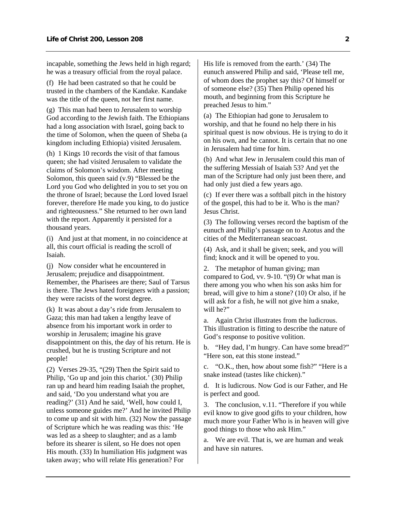incapable, something the Jews held in high regard; he was a treasury official from the royal palace.

(f) He had been castrated so that he could be trusted in the chambers of the Kandake. Kandake was the title of the queen, not her first name.

(g) This man had been to Jerusalem to worship God according to the Jewish faith. The Ethiopians had a long association with Israel, going back to the time of Solomon, when the queen of Sheba (a kingdom including Ethiopia) visited Jerusalem.

(h) 1 Kings 10 records the visit of that famous queen; she had visited Jerusalem to validate the claims of Solomon's wisdom. After meeting Solomon, this queen said (v.9) "Blessed be the Lord you God who delighted in you to set you on the throne of Israel; because the Lord loved Israel forever, therefore He made you king, to do justice and righteousness." She returned to her own land with the report. Apparently it persisted for a thousand years.

(i) And just at that moment, in no coincidence at all, this court official is reading the scroll of Isaiah.

(j) Now consider what he encountered in Jerusalem; prejudice and disappointment. Remember, the Pharisees are there; Saul of Tarsus is there. The Jews hated foreigners with a passion; they were racists of the worst degree.

(k) It was about a day's ride from Jerusalem to Gaza; this man had taken a lengthy leave of absence from his important work in order to worship in Jerusalem; imagine his grave disappointment on this, the day of his return. He is crushed, but he is trusting Scripture and not people!

(2) Verses 29-35, "(29) Then the Spirit said to Philip, 'Go up and join this chariot.' (30) Philip ran up and heard him reading Isaiah the prophet, and said, 'Do you understand what you are reading?' (31) And he said, 'Well, how could I, unless someone guides me?' And he invited Philip to come up and sit with him. (32) Now the passage of Scripture which he was reading was this: 'He was led as a sheep to slaughter; and as a lamb before its shearer is silent, so He does not open His mouth. (33) In humiliation His judgment was taken away; who will relate His generation? For

His life is removed from the earth.' (34) The eunuch answered Philip and said, 'Please tell me, of whom does the prophet say this? Of himself or of someone else? (35) Then Philip opened his mouth, and beginning from this Scripture he preached Jesus to him."

(a) The Ethiopian had gone to Jerusalem to worship, and that he found no help there in his spiritual quest is now obvious. He is trying to do it on his own, and he cannot. It is certain that no one in Jerusalem had time for him.

(b) And what Jew in Jerusalem could this man of the suffering Messiah of Isaiah 53? And yet the man of the Scripture had only just been there, and had only just died a few years ago.

(c) If ever there was a softball pitch in the history of the gospel, this had to be it. Who is the man? Jesus Christ.

(3) The following verses record the baptism of the eunuch and Philip's passage on to Azotus and the cities of the Mediterranean seacoast.

(4) Ask, and it shall be given; seek, and you will find; knock and it will be opened to you.

2. The metaphor of human giving; man compared to God, vv. 9-10. "(9) Or what man is there among you who when his son asks him for bread, will give to him a stone? (10) Or also, if he will ask for a fish, he will not give him a snake, will he?"

a. Again Christ illustrates from the ludicrous. This illustration is fitting to describe the nature of God's response to positive volition.

b. "Hey dad, I'm hungry. Can have some bread?" "Here son, eat this stone instead."

c. "O.K., then, how about some fish?" "Here is a snake instead (tastes like chicken)."

d. It is ludicrous. Now God is our Father, and He is perfect and good.

3. The conclusion, v.11. "Therefore if you while evil know to give good gifts to your children, how much more your Father Who is in heaven will give good things to those who ask Him."

a. We are evil. That is, we are human and weak and have sin natures.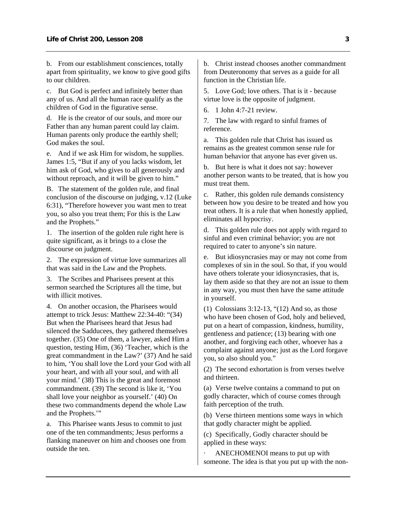b. From our establishment consciences, totally apart from spirituality, we know to give good gifts to our children.

c. But God is perfect and infinitely better than any of us. And all the human race qualify as the children of God in the figurative sense.

d. He is the creator of our souls, and more our Father than any human parent could lay claim. Human parents only produce the earthly shell; God makes the soul.

e. And if we ask Him for wisdom, he supplies. James 1:5, "But if any of you lacks wisdom, let him ask of God, who gives to all generously and without reproach, and it will be given to him."

B. The statement of the golden rule, and final conclusion of the discourse on judging, v.12 (Luke 6:31), "Therefore however you want men to treat you, so also you treat them; For this is the Law and the Prophets."

1. The insertion of the golden rule right here is quite significant, as it brings to a close the discourse on judgment.

2. The expression of virtue love summarizes all that was said in the Law and the Prophets.

3. The Scribes and Pharisees present at this sermon searched the Scriptures all the time, but with illicit motives.

4. On another occasion, the Pharisees would attempt to trick Jesus: Matthew 22:34-40: "(34) But when the Pharisees heard that Jesus had silenced the Sadducees, they gathered themselves together. (35) One of them, a lawyer, asked Him a question, testing Him, (36) 'Teacher, which is the great commandment in the Law?' (37) And he said to him, 'You shall love the Lord your God with all your heart, and with all your soul, and with all your mind.' (38) This is the great and foremost commandment. (39) The second is like it, 'You shall love your neighbor as yourself.' (40) On these two commandments depend the whole Law and the Prophets.'"

a. This Pharisee wants Jesus to commit to just one of the ten commandments; Jesus performs a flanking maneuver on him and chooses one from outside the ten.

b. Christ instead chooses another commandment from Deuteronomy that serves as a guide for all function in the Christian life.

5. Love God; love others. That is it - because virtue love is the opposite of judgment.

6. 1 John 4:7-21 review.

7. The law with regard to sinful frames of reference.

a. This golden rule that Christ has issued us remains as the greatest common sense rule for human behavior that anyone has ever given us.

b. But here is what it does not say: however another person wants to be treated, that is how you must treat them.

c. Rather, this golden rule demands consistency between how you desire to be treated and how you treat others. It is a rule that when honestly applied, eliminates all hypocrisy.

d. This golden rule does not apply with regard to sinful and even criminal behavior; you are not required to cater to anyone's sin nature.

e. But idiosyncrasies may or may not come from complexes of sin in the soul. So that, if you would have others tolerate your idiosyncrasies, that is, lay them aside so that they are not an issue to them in any way, you must then have the same attitude in yourself.

(1) Colossians 3:12-13, "(12) And so, as those who have been chosen of God, holy and believed, put on a heart of compassion, kindness, humility, gentleness and patience; (13) bearing with one another, and forgiving each other, whoever has a complaint against anyone; just as the Lord forgave you, so also should you."

(2) The second exhortation is from verses twelve and thirteen.

(a) Verse twelve contains a command to put on godly character, which of course comes through faith perception of the truth.

(b) Verse thirteen mentions some ways in which that godly character might be applied.

(c) Specifically, Godly character should be applied in these ways:

ANECHOMENOI means to put up with someone. The idea is that you put up with the non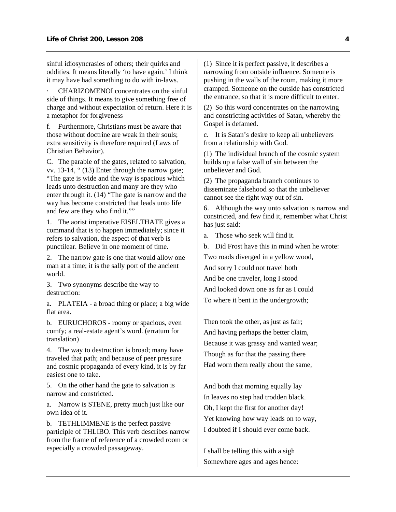sinful idiosyncrasies of others; their quirks and oddities. It means literally 'to have again.' I think it may have had something to do with in-laws.

CHARIZOMENOI concentrates on the sinful side of things. It means to give something free of charge and without expectation of return. Here it is a metaphor for forgiveness

f. Furthermore, Christians must be aware that those without doctrine are weak in their souls; extra sensitivity is therefore required (Laws of Christian Behavior).

C. The parable of the gates, related to salvation, vv. 13-14, " (13) Enter through the narrow gate; "The gate is wide and the way is spacious which leads unto destruction and many are they who enter through it. (14) "The gate is narrow and the way has become constricted that leads unto life and few are they who find it.""

1. The aorist imperative EISELTHATE gives a command that is to happen immediately; since it refers to salvation, the aspect of that verb is punctilear. Believe in one moment of time.

2. The narrow gate is one that would allow one man at a time; it is the sally port of the ancient world.

3. Two synonyms describe the way to destruction:

a. PLATEIA - a broad thing or place; a big wide flat area.

b. EURUCHOROS - roomy or spacious, even comfy; a real-estate agent's word. (erratum for translation)

4. The way to destruction is broad; many have traveled that path; and because of peer pressure and cosmic propaganda of every kind, it is by far easiest one to take.

5. On the other hand the gate to salvation is narrow and constricted.

a. Narrow is STENE, pretty much just like our own idea of it.

b. TETHLIMMENE is the perfect passive participle of THLIBO. This verb describes narrow from the frame of reference of a crowded room or especially a crowded passageway.

(1) Since it is perfect passive, it describes a narrowing from outside influence. Someone is pushing in the walls of the room, making it more cramped. Someone on the outside has constricted the entrance, so that it is more difficult to enter.

(2) So this word concentrates on the narrowing and constricting activities of Satan, whereby the Gospel is defamed.

c. It is Satan's desire to keep all unbelievers from a relationship with God.

(1) The individual branch of the cosmic system builds up a false wall of sin between the unbeliever and God.

(2) The propaganda branch continues to disseminate falsehood so that the unbeliever cannot see the right way out of sin.

6. Although the way unto salvation is narrow and constricted, and few find it, remember what Christ has just said:

a. Those who seek will find it.

b. Did Frost have this in mind when he wrote:

Two roads diverged in a yellow wood,

And sorry I could not travel both

And be one traveler, long I stood

And looked down one as far as I could To where it bent in the undergrowth;

Then took the other, as just as fair; And having perhaps the better claim, Because it was grassy and wanted wear; Though as for that the passing there Had worn them really about the same,

And both that morning equally lay In leaves no step had trodden black. Oh, I kept the first for another day! Yet knowing how way leads on to way, I doubted if I should ever come back.

I shall be telling this with a sigh Somewhere ages and ages hence: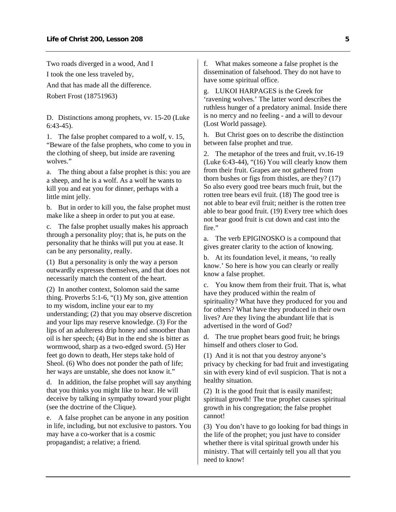Two roads diverged in a wood, And I I took the one less traveled by, And that has made all the difference. Robert Frost (18751963)

D. Distinctions among prophets, vv. 15-20 (Luke 6:43-45).

1. The false prophet compared to a wolf, v. 15, "Beware of the false prophets, who come to you in the clothing of sheep, but inside are ravening wolves."

a. The thing about a false prophet is this: you are a sheep, and he is a wolf. As a wolf he wants to kill you and eat you for dinner, perhaps with a little mint jelly.

b. But in order to kill you, the false prophet must make like a sheep in order to put you at ease.

c. The false prophet usually makes his approach through a personality ploy; that is, he puts on the personality that he thinks will put you at ease. It can be any personality, really.

(1) But a personality is only the way a person outwardly expresses themselves, and that does not necessarily match the content of the heart.

(2) In another context, Solomon said the same thing. Proverbs 5:1-6, "(1) My son, give attention to my wisdom, incline your ear to my understanding; (2) that you may observe discretion and your lips may reserve knowledge. (3) For the lips of an adulteress drip honey and smoother than oil is her speech; (4) But in the end she is bitter as wormwood, sharp as a two-edged sword. (5) Her feet go down to death, Her steps take hold of Sheol. (6) Who does not ponder the path of life; her ways are unstable, she does not know it."

d. In addition, the false prophet will say anything that you thinks you might like to hear. He will deceive by talking in sympathy toward your plight (see the doctrine of the Clique).

e. A false prophet can be anyone in any position in life, including, but not exclusive to pastors. You may have a co-worker that is a cosmic propagandist; a relative; a friend.

f. What makes someone a false prophet is the dissemination of falsehood. They do not have to have some spiritual office.

g. LUKOI HARPAGES is the Greek for 'ravening wolves.' The latter word describes the ruthless hunger of a predatory animal. Inside there is no mercy and no feeling - and a will to devour (Lost World passage).

h. But Christ goes on to describe the distinction between false prophet and true.

2. The metaphor of the trees and fruit, vv.16-19 (Luke 6:43-44), "(16) You will clearly know them from their fruit. Grapes are not gathered from thorn bushes or figs from thistles, are they? (17) So also every good tree bears much fruit, but the rotten tree bears evil fruit. (18) The good tree is not able to bear evil fruit; neither is the rotten tree able to bear good fruit. (19) Every tree which does not bear good fruit is cut down and cast into the fire."

a. The verb EPIGINOSKO is a compound that gives greater clarity to the action of knowing.

b. At its foundation level, it means, 'to really know.' So here is how you can clearly or really know a false prophet.

c. You know them from their fruit. That is, what have they produced within the realm of spirituality? What have they produced for you and for others? What have they produced in their own lives? Are they living the abundant life that is advertised in the word of God?

d. The true prophet bears good fruit; he brings himself and others closer to God.

(1) And it is not that you destroy anyone's privacy by checking for bad fruit and investigating sin with every kind of evil suspicion. That is not a healthy situation.

(2) It is the good fruit that is easily manifest; spiritual growth! The true prophet causes spiritual growth in his congregation; the false prophet cannot!

(3) You don't have to go looking for bad things in the life of the prophet; you just have to consider whether there is vital spiritual growth under his ministry. That will certainly tell you all that you need to know!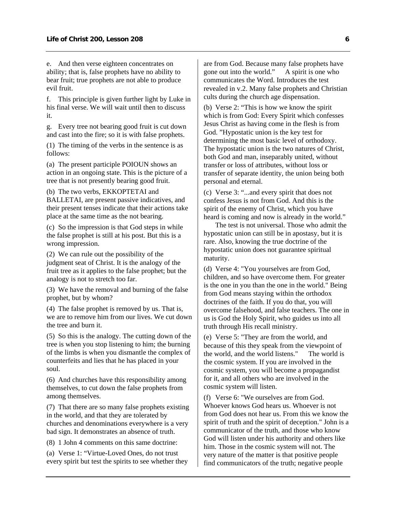e. And then verse eighteen concentrates on ability; that is, false prophets have no ability to bear fruit; true prophets are not able to produce evil fruit.

f. This principle is given further light by Luke in his final verse. We will wait until then to discuss it.

g. Every tree not bearing good fruit is cut down and cast into the fire; so it is with false prophets.

(1) The timing of the verbs in the sentence is as follows:

(a) The present participle POIOUN shows an action in an ongoing state. This is the picture of a tree that is not presently bearing good fruit.

(b) The two verbs, EKKOPTETAI and BALLETAI, are present passive indicatives, and their present tenses indicate that their actions take place at the same time as the not bearing.

(c) So the impression is that God steps in while the false prophet is still at his post. But this is a wrong impression.

(2) We can rule out the possibility of the judgment seat of Christ. It is the analogy of the fruit tree as it applies to the false prophet; but the analogy is not to stretch too far.

(3) We have the removal and burning of the false prophet, but by whom?

(4) The false prophet is removed by us. That is, we are to remove him from our lives. We cut down the tree and burn it.

(5) So this is the analogy. The cutting down of the tree is when you stop listening to him; the burning of the limbs is when you dismantle the complex of counterfeits and lies that he has placed in your soul.

(6) And churches have this responsibility among themselves, to cut down the false prophets from among themselves.

(7) That there are so many false prophets existing in the world, and that they are tolerated by churches and denominations everywhere is a very bad sign. It demonstrates an absence of truth.

(8) 1 John 4 comments on this same doctrine:

(a) Verse 1: "Virtue-Loved Ones, do not trust every spirit but test the spirits to see whether they are from God. Because many false prophets have gone out into the world." A spirit is one who communicates the Word. Introduces the test revealed in v.2. Many false prophets and Christian cults during the church age dispensation.

(b) Verse 2: "This is how we know the spirit which is from God: Every Spirit which confesses Jesus Christ as having come in the flesh is from God. "Hypostatic union is the key test for determining the most basic level of orthodoxy. The hypostatic union is the two natures of Christ, both God and man, inseparably united, without transfer or loss of attributes, without loss or transfer of separate identity, the union being both personal and eternal.

(c) Verse 3: "...and every spirit that does not confess Jesus is not from God. And this is the spirit of the enemy of Christ, which you have heard is coming and now is already in the world."

 The test is not universal. Those who admit the hypostatic union can still be in apostasy, but it is rare. Also, knowing the true doctrine of the hypostatic union does not guarantee spiritual maturity.

(d) Verse 4: "You yourselves are from God, children, and so have overcome them. For greater is the one in you than the one in the world." Being from God means staying within the orthodox doctrines of the faith. If you do that, you will overcome falsehood, and false teachers. The one in us is God the Holy Spirit, who guides us into all truth through His recall ministry.

(e) Verse 5: "They are from the world, and because of this they speak from the viewpoint of the world, and the world listens." The world is the cosmic system. If you are involved in the cosmic system, you will become a propagandist for it, and all others who are involved in the cosmic system will listen.

(f) Verse 6: "We ourselves are from God. Whoever knows God hears us. Whoever is not from God does not hear us. From this we know the spirit of truth and the spirit of deception." John is a communicator of the truth, and those who know God will listen under his authority and others like him. Those in the cosmic system will not. The very nature of the matter is that positive people find communicators of the truth; negative people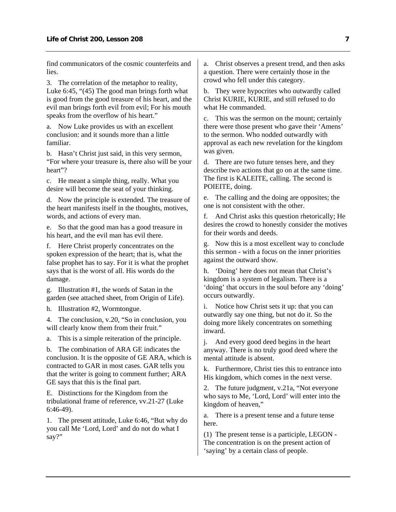find communicators of the cosmic counterfeits and lies.

3. The correlation of the metaphor to reality, Luke 6:45, "(45) The good man brings forth what is good from the good treasure of his heart, and the evil man brings forth evil from evil; For his mouth speaks from the overflow of his heart."

a. Now Luke provides us with an excellent conclusion: and it sounds more than a little familiar.

b. Hasn't Christ just said, in this very sermon, "For where your treasure is, there also will be your heart"?

c. He meant a simple thing, really. What you desire will become the seat of your thinking.

d. Now the principle is extended. The treasure of the heart manifests itself in the thoughts, motives, words, and actions of every man.

e. So that the good man has a good treasure in his heart, and the evil man has evil there.

f. Here Christ properly concentrates on the spoken expression of the heart; that is, what the false prophet has to say. For it is what the prophet says that is the worst of all. His words do the damage.

g. Illustration #1, the words of Satan in the garden (see attached sheet, from Origin of Life).

h. Illustration #2, Wormtongue.

4. The conclusion, v.20, "So in conclusion, you will clearly know them from their fruit."

a. This is a simple reiteration of the principle.

b. The combination of ARA GE indicates the conclusion. It is the opposite of GE ARA, which is contracted to GAR in most cases. GAR tells you that the writer is going to comment further; ARA GE says that this is the final part.

E. Distinctions for the Kingdom from the tribulational frame of reference, vv.21-27 (Luke 6:46-49).

1. The present attitude, Luke 6:46, "But why do you call Me 'Lord, Lord' and do not do what I say?"

a. Christ observes a present trend, and then asks a question. There were certainly those in the crowd who fell under this category.

b. They were hypocrites who outwardly called Christ KURIE, KURIE, and still refused to do what He commanded.

c. This was the sermon on the mount; certainly there were those present who gave their 'Amens' to the sermon. Who nodded outwardly with approval as each new revelation for the kingdom was given.

d. There are two future tenses here, and they describe two actions that go on at the same time. The first is KALEITE, calling. The second is POIEITE, doing.

e. The calling and the doing are opposites; the one is not consistent with the other.

f. And Christ asks this question rhetorically; He desires the crowd to honestly consider the motives for their words and deeds.

g. Now this is a most excellent way to conclude this sermon - with a focus on the inner priorities against the outward show.

h. 'Doing' here does not mean that Christ's kingdom is a system of legalism. There is a 'doing' that occurs in the soul before any 'doing' occurs outwardly.

i. Notice how Christ sets it up: that you can outwardly say one thing, but not do it. So the doing more likely concentrates on something inward.

j. And every good deed begins in the heart anyway. There is no truly good deed where the mental attitude is absent.

k. Furthermore, Christ ties this to entrance into His kingdom, which comes in the next verse.

2. The future judgment, v.21a, "Not everyone who says to Me, 'Lord, Lord' will enter into the kingdom of heaven,"

a. There is a present tense and a future tense here.

(1) The present tense is a participle, LEGON - The concentration is on the present action of 'saying' by a certain class of people.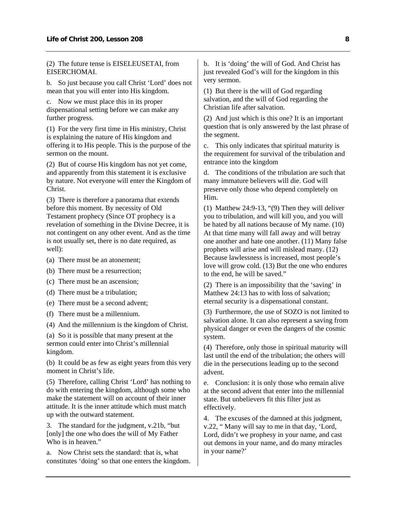(2) The future tense is EISELEUSETAI, from EISERCHOMAI.

b. So just because you call Christ 'Lord' does not mean that you will enter into His kingdom.

c. Now we must place this in its proper dispensational setting before we can make any further progress.

(1) For the very first time in His ministry, Christ is explaining the nature of His kingdom and offering it to His people. This is the purpose of the sermon on the mount.

(2) But of course His kingdom has not yet come, and apparently from this statement it is exclusive by nature. Not everyone will enter the Kingdom of Christ.

(3) There is therefore a panorama that extends before this moment. By necessity of Old Testament prophecy (Since OT prophecy is a revelation of something in the Divine Decree, it is not contingent on any other event. And as the time is not usually set, there is no date required, as well):

- (a) There must be an atonement;
- (b) There must be a resurrection;
- (c) There must be an ascension;
- (d) There must be a tribulation;
- (e) There must be a second advent;
- (f) There must be a millennium.

(4) And the millennium is the kingdom of Christ.

(a) So it is possible that many present at the sermon could enter into Christ's millennial kingdom.

(b) It could be as few as eight years from this very moment in Christ's life.

(5) Therefore, calling Christ 'Lord' has nothing to do with entering the kingdom, although some who make the statement will on account of their inner attitude. It is the inner attitude which must match up with the outward statement.

3. The standard for the judgment, v.21b, "but [only] the one who does the will of My Father Who is in heaven."

a. Now Christ sets the standard: that is, what constitutes 'doing' so that one enters the kingdom. b. It is 'doing' the will of God. And Christ has just revealed God's will for the kingdom in this very sermon.

(1) But there is the will of God regarding salvation, and the will of God regarding the Christian life after salvation.

(2) And just which is this one? It is an important question that is only answered by the last phrase of the segment.

c. This only indicates that spiritual maturity is the requirement for survival of the tribulation and entrance into the kingdom

d. The conditions of the tribulation are such that many immature believers will die. God will preserve only those who depend completely on Him.

(1) Matthew 24:9-13, "(9) Then they will deliver you to tribulation, and will kill you, and you will be hated by all nations because of My name. (10) At that time many will fall away and will betray one another and hate one another. (11) Many false prophets will arise and will mislead many. (12) Because lawlessness is increased, most people's love will grow cold. (13) But the one who endures to the end, he will be saved."

(2) There is an impossibility that the 'saving' in Matthew 24:13 has to with loss of salvation; eternal security is a dispensational constant.

(3) Furthermore, the use of SOZO is not limited to salvation alone. It can also represent a saving from physical danger or even the dangers of the cosmic system.

(4) Therefore, only those in spiritual maturity will last until the end of the tribulation; the others will die in the persecutions leading up to the second advent.

e. Conclusion: it is only those who remain alive at the second advent that enter into the millennial state. But unbelievers fit this filter just as effectively.

4. The excuses of the damned at this judgment, v.22, " Many will say to me in that day, 'Lord, Lord, didn't we prophesy in your name, and cast out demons in your name, and do many miracles in your name?'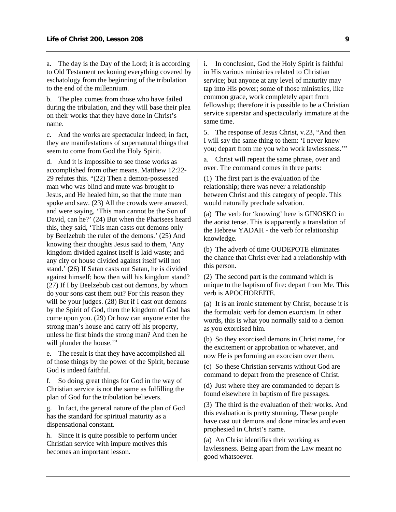a. The day is the Day of the Lord; it is according to Old Testament reckoning everything covered by eschatology from the beginning of the tribulation to the end of the millennium.

b. The plea comes from those who have failed during the tribulation, and they will base their plea on their works that they have done in Christ's name.

c. And the works are spectacular indeed; in fact, they are manifestations of supernatural things that seem to come from God the Holy Spirit.

d. And it is impossible to see those works as accomplished from other means. Matthew 12:22- 29 refutes this. "(22) Then a demon-possessed man who was blind and mute was brought to Jesus, and He healed him, so that the mute man spoke and saw. (23) All the crowds were amazed, and were saying, 'This man cannot be the Son of David, can he?' (24) But when the Pharisees heard this, they said, 'This man casts out demons only by Beelzebub the ruler of the demons.' (25) And knowing their thoughts Jesus said to them, 'Any kingdom divided against itself is laid waste; and any city or house divided against itself will not stand.' (26) If Satan casts out Satan, he is divided against himself; how then will his kingdom stand? (27) If I by Beelzebub cast out demons, by whom do your sons cast them out? For this reason they will be your judges. (28) But if I cast out demons by the Spirit of God, then the kingdom of God has come upon you. (29) Or how can anyone enter the strong man's house and carry off his property, unless he first binds the strong man? And then he will plunder the house."

e. The result is that they have accomplished all of those things by the power of the Spirit, because God is indeed faithful.

f. So doing great things for God in the way of Christian service is not the same as fulfilling the plan of God for the tribulation believers.

g. In fact, the general nature of the plan of God has the standard for spiritual maturity as a dispensational constant.

h. Since it is quite possible to perform under Christian service with impure motives this becomes an important lesson.

i. In conclusion, God the Holy Spirit is faithful in His various ministries related to Christian service; but anyone at any level of maturity may tap into His power; some of those ministries, like common grace, work completely apart from fellowship; therefore it is possible to be a Christian service superstar and spectacularly immature at the same time.

5. The response of Jesus Christ, v.23, "And then I will say the same thing to them: 'I never knew you; depart from me you who work lawlessness.'"

a. Christ will repeat the same phrase, over and over. The command comes in three parts:

(1) The first part is the evaluation of the relationship; there was never a relationship between Christ and this category of people. This would naturally preclude salvation.

(a) The verb for 'knowing' here is GINOSKO in the aorist tense. This is apparently a translation of the Hebrew YADAH - the verb for relationship knowledge.

(b) The adverb of time OUDEPOTE eliminates the chance that Christ ever had a relationship with this person.

(2) The second part is the command which is unique to the baptism of fire: depart from Me. This verb is APOCHOREITE.

(a) It is an ironic statement by Christ, because it is the formulaic verb for demon exorcism. In other words, this is what you normally said to a demon as you exorcised him.

(b) So they exorcised demons in Christ name, for the excitement or approbation or whatever, and now He is performing an exorcism over them.

(c) So these Christian servants without God are command to depart from the presence of Christ.

(d) Just where they are commanded to depart is found elsewhere in baptism of fire passages.

(3) The third is the evaluation of their works. And this evaluation is pretty stunning. These people have cast out demons and done miracles and even prophesied in Christ's name.

(a) An Christ identifies their working as lawlessness. Being apart from the Law meant no good whatsoever.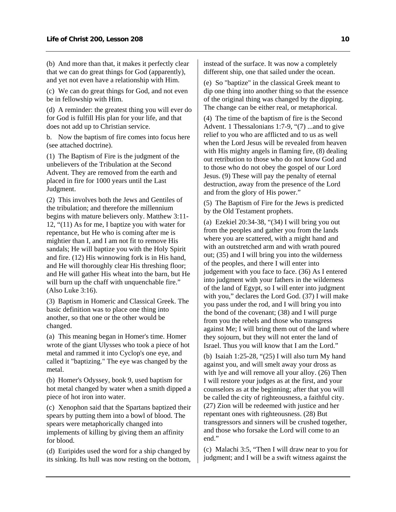(b) And more than that, it makes it perfectly clear that we can do great things for God (apparently), and yet not even have a relationship with Him.

(c) We can do great things for God, and not even be in fellowship with Him.

(d) A reminder: the greatest thing you will ever do for God is fulfill His plan for your life, and that does not add up to Christian service.

b. Now the baptism of fire comes into focus here (see attached doctrine).

(1) The Baptism of Fire is the judgment of the unbelievers of the Tribulation at the Second Advent. They are removed from the earth and placed in fire for 1000 years until the Last Judgment.

(2) This involves both the Jews and Gentiles of the tribulation; and therefore the millennium begins with mature believers only. Matthew 3:11- 12, "(11) As for me, I baptize you with water for repentance, but He who is coming after me is mightier than I, and I am not fit to remove His sandals; He will baptize you with the Holy Spirit and fire. (12) His winnowing fork is in His hand, and He will thoroughly clear His threshing floor; and He will gather His wheat into the barn, but He will burn up the chaff with unquenchable fire." (Also Luke 3:16).

(3) Baptism in Homeric and Classical Greek. The basic definition was to place one thing into another, so that one or the other would be changed.

(a) This meaning began in Homer's time. Homer wrote of the giant Ulysses who took a piece of hot metal and rammed it into Cyclop's one eye, and called it "baptizing." The eye was changed by the metal.

(b) Homer's Odyssey, book 9, used baptism for hot metal changed by water when a smith dipped a piece of hot iron into water.

(c) Xenophon said that the Spartans baptized their spears by putting them into a bowl of blood. The spears were metaphorically changed into implements of killing by giving them an affinity for blood.

(d) Euripides used the word for a ship changed by its sinking. Its hull was now resting on the bottom, instead of the surface. It was now a completely different ship, one that sailed under the ocean.

(e) So "baptize" in the classical Greek meant to dip one thing into another thing so that the essence of the original thing was changed by the dipping. The change can be either real, or metaphorical.

(4) The time of the baptism of fire is the Second Advent. 1 Thessalonians 1:7-9, "(7) ...and to give relief to you who are afflicted and to us as well when the Lord Jesus will be revealed from heaven with His mighty angels in flaming fire, (8) dealing out retribution to those who do not know God and to those who do not obey the gospel of our Lord Jesus. (9) These will pay the penalty of eternal destruction, away from the presence of the Lord and from the glory of His power."

(5) The Baptism of Fire for the Jews is predicted by the Old Testament prophets.

(a) Ezekiel  $20:34-38$ , " $(34)$  I will bring you out from the peoples and gather you from the lands where you are scattered, with a might hand and with an outstretched arm and with wrath poured out; (35) and I will bring you into the wilderness of the peoples, and there I will enter into judgement with you face to face. (36) As I entered into judgment with your fathers in the wilderness of the land of Egypt, so I will enter into judgment with you," declares the Lord God. (37) I will make you pass under the rod, and I will bring you into the bond of the covenant; (38) and I will purge from you the rebels and those who transgress against Me; I will bring them out of the land where they sojourn, but they will not enter the land of Israel. Thus you will know that I am the Lord."

(b) Isaiah 1:25-28, "(25) I will also turn My hand against you, and will smelt away your dross as with lye and will remove all your alloy. (26) Then I will restore your judges as at the first, and your counselors as at the beginning; after that you will be called the city of righteousness, a faithful city. (27) Zion will be redeemed with justice and her repentant ones with righteousness. (28) But transgressors and sinners will be crushed together, and those who forsake the Lord will come to an end."

(c) Malachi 3:5, "Then I will draw near to you for judgment; and I will be a swift witness against the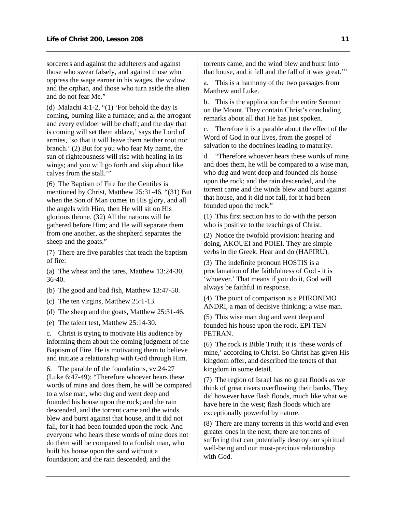sorcerers and against the adulterers and against those who swear falsely, and against those who oppress the wage earner in his wages, the widow and the orphan, and those who turn aside the alien and do not fear Me."

(d) Malachi 4:1-2, "(1) 'For behold the day is coming, burning like a furnace; and al the arrogant and every evildoer will be chaff; and the day that is coming will set them ablaze,' says the Lord of armies, 'so that it will leave them neither root nor branch.' (2) But for you who fear My name, the sun of righteousness will rise with healing in its wings; and you will go forth and skip about like calves from the stall.'"

(6) The Baptism of Fire for the Gentiles is mentioned by Christ, Matthew 25:31-46. "(31) But when the Son of Man comes in His glory, and all the angels with Him, then He will sit on His glorious throne. (32) All the nations will be gathered before Him; and He will separate them from one another, as the shepherd separates the sheep and the goats."

(7) There are five parables that teach the baptism of fire:

(a) The wheat and the tares, Matthew 13:24-30, 36-40.

(b) The good and bad fish, Matthew 13:47-50.

(c) The ten virgins, Matthew 25:1-13.

(d) The sheep and the goats, Matthew 25:31-46.

(e) The talent test, Matthew 25:14-30.

c. Christ is trying to motivate His audience by informing them about the coming judgment of the Baptism of Fire. He is motivating them to believe and initiate a relationship with God through Him.

6. The parable of the foundations, vv.24-27 (Luke 6:47-49): "Therefore whoever hears these words of mine and does them, he will be compared to a wise man, who dug and went deep and founded his house upon the rock; and the rain descended, and the torrent came and the winds blew and burst against that house, and it did not fall, for it had been founded upon the rock. And everyone who hears these words of mine does not do them will be compared to a foolish man, who built his house upon the sand without a foundation; and the rain descended, and the

torrents came, and the wind blew and burst into that house, and it fell and the fall of it was great.'"

a. This is a harmony of the two passages from Matthew and Luke.

b. This is the application for the entire Sermon on the Mount. They contain Christ's concluding remarks about all that He has just spoken.

c. Therefore it is a parable about the effect of the Word of God in our lives, from the gospel of salvation to the doctrines leading to maturity.

d. "Therefore whoever hears these words of mine and does them, he will be compared to a wise man, who dug and went deep and founded his house upon the rock; and the rain descended, and the torrent came and the winds blew and burst against that house, and it did not fall, for it had been founded upon the rock."

(1) This first section has to do with the person who is positive to the teachings of Christ.

(2) Notice the twofold provision: hearing and doing, AKOUEI and POIEI. They are simple verbs in the Greek. Hear and do (HAPIRU).

(3) The indefinite pronoun HOSTIS is a proclamation of the faithfulness of God - it is 'whoever.' That means if you do it, God will always be faithful in response.

(4) The point of comparison is a PHRONIMO ANDRI, a man of decisive thinking; a wise man.

(5) This wise man dug and went deep and founded his house upon the rock, EPI TEN PETRAN.

(6) The rock is Bible Truth; it is 'these words of mine,' according to Christ. So Christ has given His kingdom offer, and described the tenets of that kingdom in some detail.

(7) The region of Israel has no great floods as we think of great rivers overflowing their banks. They did however have flash floods, much like what we have here in the west; flash floods which are exceptionally powerful by nature.

(8) There are many torrents in this world and even greater ones in the next; there are torrents of suffering that can potentially destroy our spiritual well-being and our most-precious relationship with God.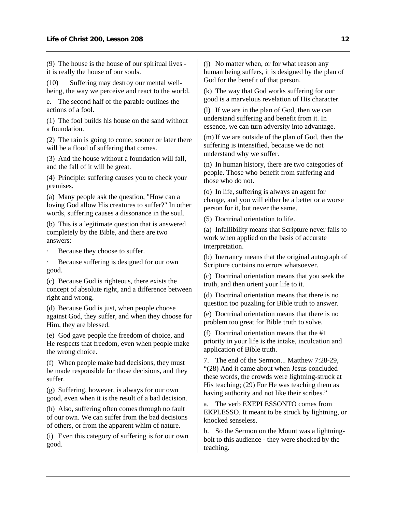(9) The house is the house of our spiritual lives it is really the house of our souls.

(10) Suffering may destroy our mental wellbeing, the way we perceive and react to the world.

e. The second half of the parable outlines the actions of a fool.

(1) The fool builds his house on the sand without a foundation.

(2) The rain is going to come; sooner or later there will be a flood of suffering that comes.

(3) And the house without a foundation will fall, and the fall of it will be great.

(4) Principle: suffering causes you to check your premises.

(a) Many people ask the question, "How can a loving God allow His creatures to suffer?" In other words, suffering causes a dissonance in the soul.

(b) This is a legitimate question that is answered completely by the Bible, and there are two answers:

Because they choose to suffer.

Because suffering is designed for our own good.

(c) Because God is righteous, there exists the concept of absolute right, and a difference between right and wrong.

(d) Because God is just, when people choose against God, they suffer, and when they choose for Him, they are blessed.

(e) God gave people the freedom of choice, and He respects that freedom, even when people make the wrong choice.

(f) When people make bad decisions, they must be made responsible for those decisions, and they suffer.

(g) Suffering, however, is always for our own good, even when it is the result of a bad decision.

(h) Also, suffering often comes through no fault of our own. We can suffer from the bad decisions of others, or from the apparent whim of nature.

(i) Even this category of suffering is for our own good.

(j) No matter when, or for what reason any human being suffers, it is designed by the plan of God for the benefit of that person.

(k) The way that God works suffering for our good is a marvelous revelation of His character.

(l) If we are in the plan of God, then we can understand suffering and benefit from it. In essence, we can turn adversity into advantage.

(m) If we are outside of the plan of God, then the suffering is intensified, because we do not understand why we suffer.

(n) In human history, there are two categories of people. Those who benefit from suffering and those who do not.

(o) In life, suffering is always an agent for change, and you will either be a better or a worse person for it, but never the same.

(5) Doctrinal orientation to life.

(a) Infallibility means that Scripture never fails to work when applied on the basis of accurate interpretation.

(b) Inerrancy means that the original autograph of Scripture contains no errors whatsoever.

(c) Doctrinal orientation means that you seek the truth, and then orient your life to it.

(d) Doctrinal orientation means that there is no question too puzzling for Bible truth to answer.

(e) Doctrinal orientation means that there is no problem too great for Bible truth to solve.

(f) Doctrinal orientation means that the #1 priority in your life is the intake, inculcation and application of Bible truth.

7. The end of the Sermon... Matthew 7:28-29, "(28) And it came about when Jesus concluded these words, the crowds were lightning-struck at His teaching; (29) For He was teaching them as having authority and not like their scribes."

a. The verb EXEPLESSONTO comes from EKPLESSO. It meant to be struck by lightning, or knocked senseless.

b. So the Sermon on the Mount was a lightningbolt to this audience - they were shocked by the teaching.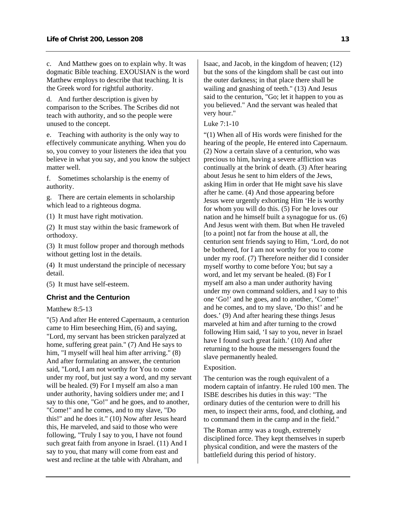<span id="page-14-0"></span>c. And Matthew goes on to explain why. It was dogmatic Bible teaching. EXOUSIAN is the word Matthew employs to describe that teaching. It is the Greek word for rightful authority.

d. And further description is given by comparison to the Scribes. The Scribes did not teach with authority, and so the people were unused to the concept.

e. Teaching with authority is the only way to effectively communicate anything. When you do so, you convey to your listeners the idea that you believe in what you say, and you know the subject matter well.

f. Sometimes scholarship is the enemy of authority.

g. There are certain elements in scholarship which lead to a righteous dogma.

(1) It must have right motivation.

(2) It must stay within the basic framework of orthodoxy.

(3) It must follow proper and thorough methods without getting lost in the details.

(4) It must understand the principle of necessary detail.

(5) It must have self-esteem.

#### **Christ and the Centurion**

Matthew 8:5-13

"(5) And after He entered Capernaum, a centurion came to Him beseeching Him, (6) and saying, "Lord, my servant has been stricken paralyzed at home, suffering great pain." (7) And He says to him, "I myself will heal him after arriving." (8) And after formulating an answer, the centurion said, "Lord, I am not worthy for You to come under my roof, but just say a word, and my servant will be healed. (9) For I myself am also a man under authority, having soldiers under me; and I say to this one, "Go!" and he goes, and to another, "Come!" and he comes, and to my slave, "Do this!" and he does it." (10) Now after Jesus heard this, He marveled, and said to those who were following, "Truly I say to you, I have not found such great faith from anyone in Israel. (11) And I say to you, that many will come from east and west and recline at the table with Abraham, and

Isaac, and Jacob, in the kingdom of heaven; (12) but the sons of the kingdom shall be cast out into the outer darkness; in that place there shall be wailing and gnashing of teeth." (13) And Jesus said to the centurion, "Go; let it happen to you as you believed." And the servant was healed that very hour."

#### Luke 7:1-10

"(1) When all of His words were finished for the hearing of the people, He entered into Capernaum. (2) Now a certain slave of a centurion, who was precious to him, having a severe affliction was continually at the brink of death. (3) After hearing about Jesus he sent to him elders of the Jews, asking Him in order that He might save his slave after he came. (4) And those appearing before Jesus were urgently exhorting Him 'He is worthy for whom you will do this. (5) For he loves our nation and he himself built a synagogue for us. (6) And Jesus went with them. But when He traveled [to a point] not far from the house at all, the centurion sent friends saying to Him, 'Lord, do not be bothered, for I am not worthy for you to come under my roof. (7) Therefore neither did I consider myself worthy to come before You; but say a word, and let my servant be healed. (8) For I myself am also a man under authority having under my own command soldiers, and I say to this one 'Go!' and he goes, and to another, 'Come!' and he comes, and to my slave, 'Do this!' and he does.' (9) And after hearing these things Jesus marveled at him and after turning to the crowd following Him said, 'I say to you, never in Israel have I found such great faith.' (10) And after returning to the house the messengers found the slave permanently healed.

#### Exposition.

The centurion was the rough equivalent of a modern captain of infantry. He ruled 100 men. The ISBE describes his duties in this way: "The ordinary duties of the centurion were to drill his men, to inspect their arms, food, and clothing, and to command them in the camp and in the field."

The Roman army was a tough, extremely disciplined force. They kept themselves in superb physical condition, and were the masters of the battlefield during this period of history.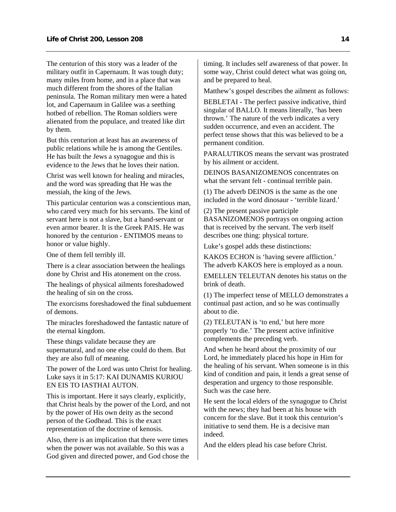The centurion of this story was a leader of the military outfit in Capernaum. It was tough duty; many miles from home, and in a place that was much different from the shores of the Italian peninsula. The Roman military men were a hated lot, and Capernaum in Galilee was a seething hotbed of rebellion. The Roman soldiers were alienated from the populace, and treated like dirt by them.

But this centurion at least has an awareness of public relations while he is among the Gentiles. He has built the Jews a synagogue and this is evidence to the Jews that he loves their nation.

Christ was well known for healing and miracles, and the word was spreading that He was the messiah, the king of the Jews.

This particular centurion was a conscientious man, who cared very much for his servants. The kind of servant here is not a slave, but a hand-servant or even armor bearer. It is the Greek PAIS. He was honored by the centurion - ENTIMOS means to honor or value highly.

One of them fell terribly ill.

There is a clear association between the healings done by Christ and His atonement on the cross.

The healings of physical ailments foreshadowed the healing of sin on the cross.

The exorcisms foreshadowed the final subduement of demons.

The miracles foreshadowed the fantastic nature of the eternal kingdom.

These things validate because they are supernatural, and no one else could do them. But they are also full of meaning.

The power of the Lord was unto Christ for healing. Luke says it in 5:17: KAI DUNAMIS KURIOU EN EIS TO IASTHAI AUTON.

This is important. Here it says clearly, explicitly, that Christ heals by the power of the Lord, and not by the power of His own deity as the second person of the Godhead. This is the exact representation of the doctrine of kenosis.

Also, there is an implication that there were times when the power was not available. So this was a God given and directed power, and God chose the timing. It includes self awareness of that power. In some way, Christ could detect what was going on, and be prepared to heal.

Matthew's gospel describes the ailment as follows:

BEBLETAI - The perfect passive indicative, third singular of BALLO. It means literally, 'has been thrown.' The nature of the verb indicates a very sudden occurrence, and even an accident. The perfect tense shows that this was believed to be a permanent condition.

PARALUTIKOS means the servant was prostrated by his ailment or accident.

DEINOS BASANIZOMENOS concentrates on what the servant felt - continual terrible pain.

(1) The adverb DEINOS is the same as the one included in the word dinosaur - 'terrible lizard.'

(2) The present passive participle BASANIZOMENOS portrays on ongoing action that is received by the servant. The verb itself describes one thing: physical torture.

Luke's gospel adds these distinctions:

KAKOS ECHON is 'having severe affliction.' The adverb KAKOS here is employed as a noun.

EMELLEN TELEUTAN denotes his status on the brink of death.

(1) The imperfect tense of MELLO demonstrates a continual past action, and so he was continually about to die.

(2) TELEUTAN is 'to end,' but here more properly 'to die.' The present active infinitive complements the preceding verb.

And when he heard about the proximity of our Lord, he immediately placed his hope in Him for the healing of his servant. When someone is in this kind of condition and pain, it lends a great sense of desperation and urgency to those responsible. Such was the case here.

He sent the local elders of the synagogue to Christ with the news; they had been at his house with concern for the slave. But it took this centurion's initiative to send them. He is a decisive man indeed.

And the elders plead his case before Christ.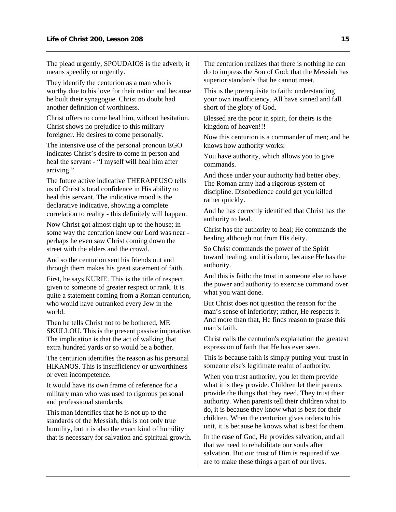The plead urgently, SPOUDAIOS is the adverb; it means speedily or urgently.

They identify the centurion as a man who is worthy due to his love for their nation and because he built their synagogue. Christ no doubt had another definition of worthiness.

Christ offers to come heal him, without hesitation. Christ shows no prejudice to this military foreigner. He desires to come personally.

The intensive use of the personal pronoun EGO indicates Christ's desire to come in person and heal the servant - "I myself will heal him after arriving."

The future active indicative THERAPEUSO tells us of Christ's total confidence in His ability to heal this servant. The indicative mood is the declarative indicative, showing a complete correlation to reality - this definitely will happen.

Now Christ got almost right up to the house; in some way the centurion knew our Lord was near perhaps he even saw Christ coming down the street with the elders and the crowd.

And so the centurion sent his friends out and through them makes his great statement of faith.

First, he says KURIE. This is the title of respect, given to someone of greater respect or rank. It is quite a statement coming from a Roman centurion, who would have outranked every Jew in the world.

Then he tells Christ not to be bothered, ME SKULLOU. This is the present passive imperative. The implication is that the act of walking that extra hundred yards or so would be a bother.

The centurion identifies the reason as his personal HIKANOS. This is insufficiency or unworthiness or even incompetence.

It would have its own frame of reference for a military man who was used to rigorous personal and professional standards.

This man identifies that he is not up to the standards of the Messiah; this is not only true humility, but it is also the exact kind of humility that is necessary for salvation and spiritual growth. The centurion realizes that there is nothing he can do to impress the Son of God; that the Messiah has superior standards that he cannot meet.

This is the prerequisite to faith: understanding your own insufficiency. All have sinned and fall short of the glory of God.

Blessed are the poor in spirit, for theirs is the kingdom of heaven!!!

Now this centurion is a commander of men; and he knows how authority works:

You have authority, which allows you to give commands.

And those under your authority had better obey. The Roman army had a rigorous system of discipline. Disobedience could get you killed rather quickly.

And he has correctly identified that Christ has the authority to heal.

Christ has the authority to heal; He commands the healing although not from His deity.

So Christ commands the power of the Spirit toward healing, and it is done, because He has the authority.

And this is faith: the trust in someone else to have the power and authority to exercise command over what you want done.

But Christ does not question the reason for the man's sense of inferiority; rather, He respects it. And more than that, He finds reason to praise this man's faith.

Christ calls the centurion's explanation the greatest expression of faith that He has ever seen.

This is because faith is simply putting your trust in someone else's legitimate realm of authority.

When you trust authority, you let them provide what it is they provide. Children let their parents provide the things that they need. They trust their authority. When parents tell their children what to do, it is because they know what is best for their children. When the centurion gives orders to his unit, it is because he knows what is best for them.

In the case of God, He provides salvation, and all that we need to rehabilitate our souls after salvation. But our trust of Him is required if we are to make these things a part of our lives.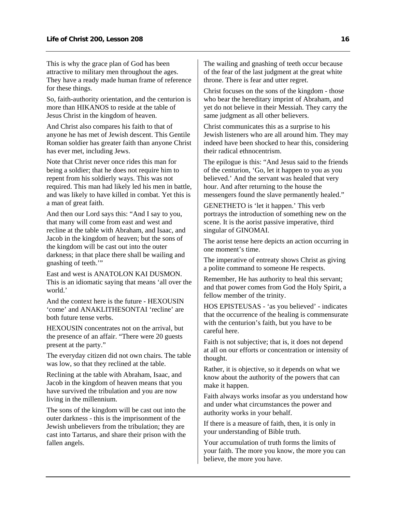This is why the grace plan of God has been attractive to military men throughout the ages. They have a ready made human frame of reference for these things.

So, faith-authority orientation, and the centurion is more than HIKANOS to reside at the table of Jesus Christ in the kingdom of heaven.

And Christ also compares his faith to that of anyone he has met of Jewish descent. This Gentile Roman soldier has greater faith than anyone Christ has ever met, including Jews.

Note that Christ never once rides this man for being a soldier; that he does not require him to repent from his soldierly ways. This was not required. This man had likely led his men in battle, and was likely to have killed in combat. Yet this is a man of great faith.

And then our Lord says this: "And I say to you, that many will come from east and west and recline at the table with Abraham, and Isaac, and Jacob in the kingdom of heaven; but the sons of the kingdom will be cast out into the outer darkness; in that place there shall be wailing and gnashing of teeth.'"

East and west is ANATOLON KAI DUSMON. This is an idiomatic saying that means 'all over the world.'

And the context here is the future - HEXOUSIN 'come' and ANAKLITHESONTAI 'recline' are both future tense verbs.

HEXOUSIN concentrates not on the arrival, but the presence of an affair. "There were 20 guests present at the party."

The everyday citizen did not own chairs. The table was low, so that they reclined at the table.

Reclining at the table with Abraham, Isaac, and Jacob in the kingdom of heaven means that you have survived the tribulation and you are now living in the millennium.

The sons of the kingdom will be cast out into the outer darkness - this is the imprisonment of the Jewish unbelievers from the tribulation; they are cast into Tartarus, and share their prison with the fallen angels.

The wailing and gnashing of teeth occur because of the fear of the last judgment at the great white throne. There is fear and utter regret.

Christ focuses on the sons of the kingdom - those who bear the hereditary imprint of Abraham, and yet do not believe in their Messiah. They carry the same judgment as all other believers.

Christ communicates this as a surprise to his Jewish listeners who are all around him. They may indeed have been shocked to hear this, considering their radical ethnocentrism.

The epilogue is this: "And Jesus said to the friends of the centurion, 'Go, let it happen to you as you believed.' And the servant was healed that very hour. And after returning to the house the messengers found the slave permanently healed."

GENETHETO is 'let it happen.' This verb portrays the introduction of something new on the scene. It is the aorist passive imperative, third singular of GINOMAI.

The aorist tense here depicts an action occurring in one moment's time.

The imperative of entreaty shows Christ as giving a polite command to someone He respects.

Remember, He has authority to heal this servant; and that power comes from God the Holy Spirit, a fellow member of the trinity.

HOS EPISTEUSAS - 'as you believed' - indicates that the occurrence of the healing is commensurate with the centurion's faith, but you have to be careful here.

Faith is not subjective; that is, it does not depend at all on our efforts or concentration or intensity of thought.

Rather, it is objective, so it depends on what we know about the authority of the powers that can make it happen.

Faith always works insofar as you understand how and under what circumstances the power and authority works in your behalf.

If there is a measure of faith, then, it is only in your understanding of Bible truth.

Your accumulation of truth forms the limits of your faith. The more you know, the more you can believe, the more you have.